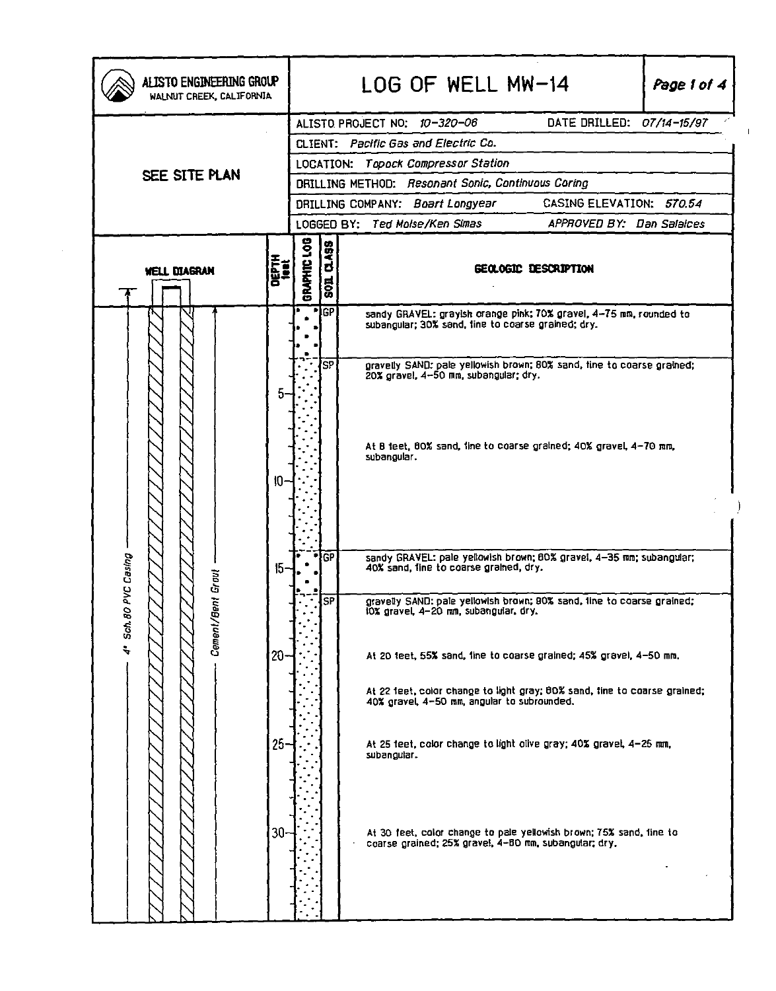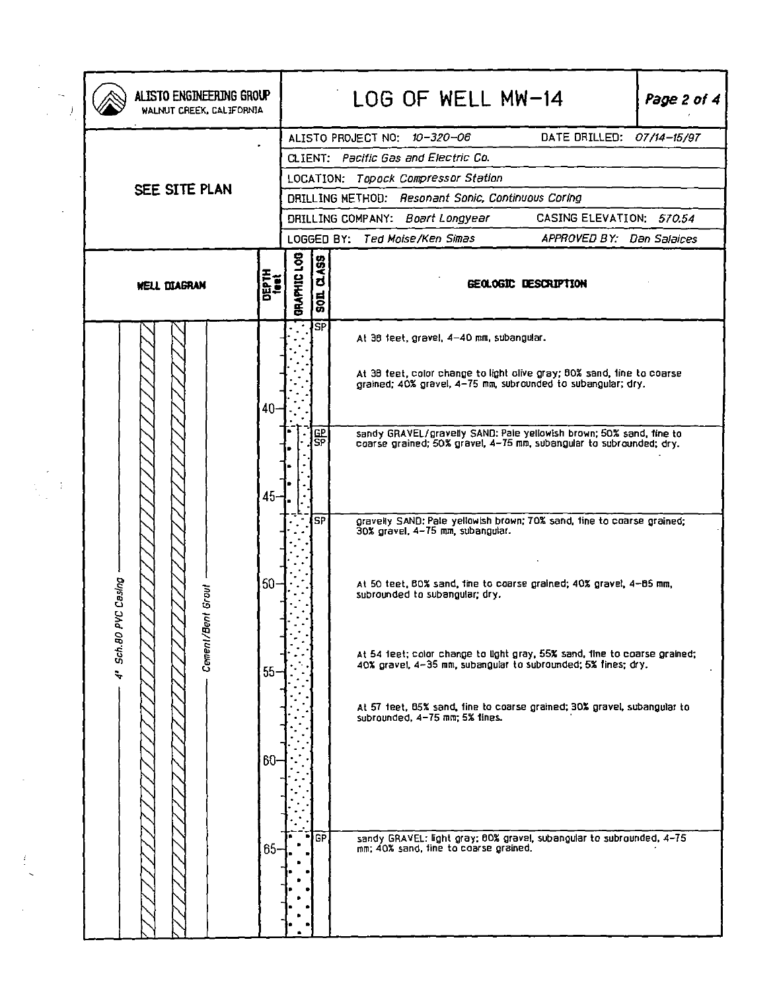| ALISTO ENGINEERING GROUP<br>WALNUT CREEK, CALIFORNIA |               |                     |  |               |                      | LOG OF WELL MW-14<br>Page 2 of 4                   |                                     |                                                                                                                                            |  |  |  |
|------------------------------------------------------|---------------|---------------------|--|---------------|----------------------|----------------------------------------------------|-------------------------------------|--------------------------------------------------------------------------------------------------------------------------------------------|--|--|--|
|                                                      |               |                     |  |               |                      |                                                    |                                     | DATE DRILLED: 07/14-15/97<br>ALISTO PROJECT NO: 10-320-06                                                                                  |  |  |  |
|                                                      |               |                     |  |               |                      | CLIENT: Pacific Gas and Electric Co.               |                                     |                                                                                                                                            |  |  |  |
|                                                      | SEE SITE PLAN |                     |  |               |                      |                                                    | LOCATION: Topock Compressor Station |                                                                                                                                            |  |  |  |
|                                                      |               |                     |  |               |                      | DRILLING METHOD: Resonant Sonic, Continuous Coring |                                     |                                                                                                                                            |  |  |  |
|                                                      |               |                     |  |               |                      |                                                    |                                     | DRILLING COMPANY: Boart Longyear<br>CASING ELEVATION: 570.54                                                                               |  |  |  |
|                                                      |               |                     |  |               |                      |                                                    |                                     | APPROVED BY: Dan Salaices<br>LOGGED BY: Ted Moise/Ken Simas                                                                                |  |  |  |
|                                                      |               | <b>WELL DIAGRAM</b> |  |               | <b>DEPTH</b><br>test | BRAPHIC LOB                                        | <b>994</b><br>ರ<br>$\frac{1}{2}$    | GEOLOGIC DESCRIPTION                                                                                                                       |  |  |  |
|                                                      |               |                     |  |               |                      |                                                    | <b>SP</b>                           | At 36 feet, gravel, 4-40 mm, subangular.                                                                                                   |  |  |  |
|                                                      |               |                     |  |               | $40 -$               |                                                    |                                     | At 38 feet, color change to light olive gray; 60% sand, fine to coarse<br>grained; 40% gravel, 4-75 mm, subrounded to subangular; dry.     |  |  |  |
|                                                      |               |                     |  |               |                      |                                                    | <u>ce</u><br>SP                     | sandy GRAVEL/gravelly SAND: Pale yellowish brown; 50% sand, fine to<br>coarse grained; 50% gravel, 4-75 mm, subangular to subrounded; dry. |  |  |  |
|                                                      |               |                     |  |               | $45 -$               |                                                    | SP                                  | gravelly SAND: Pale yellowish brown; 70% sand, fine to coarse grained;<br>30% gravel, 4–75 mm, subangular.                                 |  |  |  |
|                                                      | <b>Bujse</b>  |                     |  | š             | $50 -$               |                                                    |                                     | At 50 teet, 80% sand, fine to coarse grained; 40% gravel, 4-85 mm,<br>subrounded to subangular; dry,                                       |  |  |  |
|                                                      | 4' Sch.80 PVC |                     |  | Cement/Bent G | 55                   |                                                    |                                     | At 54 feet; color change to light gray, 55% sand, fine to coarse grained;<br>40% gravel, 4-35 mm, subangular to subrounded; 5% fines; dry. |  |  |  |
|                                                      |               |                     |  |               | $60 -$               |                                                    |                                     | At 57 feet, 85% sand, fine to coarse grained; 30% gravel, subangular to<br>subrounded, 4-75 mm; 5% fines.                                  |  |  |  |
|                                                      |               |                     |  |               |                      |                                                    |                                     |                                                                                                                                            |  |  |  |
|                                                      |               |                     |  |               | $65 -$               |                                                    | l GP                                | sandy GRAVEL: light gray; BO% gravel, subangular to subrounded, 4-75<br>mm; 40% sand, tine to coarse grained.                              |  |  |  |
|                                                      |               |                     |  |               |                      |                                                    |                                     |                                                                                                                                            |  |  |  |

 $\mathcal{L}(\mathcal{A})$  .

 $\frac{1}{2}$ 

 $\frac{1}{2}$ 

 $\hat{\mathcal{A}}$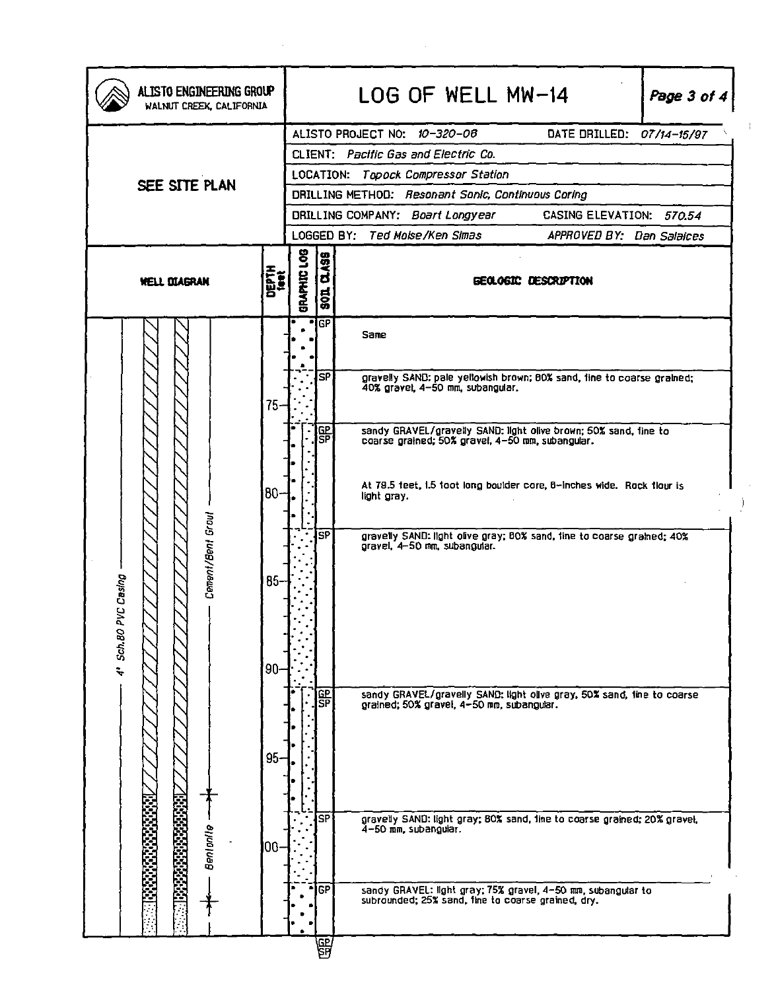| ALISTO ENGINEERING GROUP<br>WALNUT CREEK, CALIFORNIA |               | LOG OF WELL MW-14<br>Page 3 of 4                                                                                                 |  |  |  |  |  |  |
|------------------------------------------------------|---------------|----------------------------------------------------------------------------------------------------------------------------------|--|--|--|--|--|--|
|                                                      |               | ALISTO PROJECT NO: 10-320-06<br>DATE DRILLED: 07/14-15/97                                                                        |  |  |  |  |  |  |
|                                                      |               | CLIENT: Pacific Gas and Electric Co.                                                                                             |  |  |  |  |  |  |
| SEE SITE PLAN                                        |               | LOCATION: Topock Compressor Station                                                                                              |  |  |  |  |  |  |
|                                                      |               | DRILLING METHOD: Resonant Sonic, Continuous Coring                                                                               |  |  |  |  |  |  |
|                                                      |               | DRILLING COMPANY: Boart Longyear<br>CASING ELEVATION: 570.54                                                                     |  |  |  |  |  |  |
|                                                      |               | LOGGED BY: Ted Moise/Ken Simas<br>APPROVED BY: Dan Salaices                                                                      |  |  |  |  |  |  |
| <b>WELL DIAGRAN</b>                                  | DEPTH<br>test | BRAPHIC LOB<br><b>RSA.</b><br>ರ<br>GEOLOGIC DESCRIPTION<br><b>Hog</b>                                                            |  |  |  |  |  |  |
|                                                      |               | ∙iGP<br>Same                                                                                                                     |  |  |  |  |  |  |
|                                                      | $75 -$        | SP<br>gravelly SAND: pale yellowish brown; 80% sand, fine to coarse grained;<br>40% gravel, 4-50 mm, subangular.                 |  |  |  |  |  |  |
|                                                      |               | sandy GRAVEL/gravelly SAND: light olive brown; 50% sand, fine to<br>이 아<br>coarse grained; 50% gravel, 4-50 mm, subangular.      |  |  |  |  |  |  |
|                                                      | 80-           | At 79.5 feet, 1.5 foot long boulder core, 6-inches wide. Rock flour is<br>light gray.                                            |  |  |  |  |  |  |
| Cement/Bent Grout<br>VC Casing                       | 85-           | <b>SP</b><br>gravelly SAND: light olive gray; BOX sand, fine to coarse grained; 40%<br>gravel, 4-50 mm, subangular.              |  |  |  |  |  |  |
| 4' Sch.80 P                                          | $90 -$        | sandy GRAVEL/gravelly SAND: light olive gray, 50% sand, fine to coarse<br>GР<br>ŜP<br>grained; 50% gravel, 4-50 nm, subangular.  |  |  |  |  |  |  |
|                                                      | $95 -$        |                                                                                                                                  |  |  |  |  |  |  |
| Bentonile                                            | 100·          | <b>SP</b><br>gravelly SAND: light gray; 80% sand, fine to coarse grained; 20% gravel,<br>4-50 mm, subangular.                    |  |  |  |  |  |  |
|                                                      |               | <b>IGP</b><br>sandy GRAVEL: light gray; 75% gravel, 4-50 mm, subangular to<br>subrounded; 25% sand, fine to coarse grained, dry. |  |  |  |  |  |  |

 $\mathcal{L}^{\text{max}}_{\text{max}}$  ,  $\mathcal{L}^{\text{max}}_{\text{max}}$ 

 $\sim 10^{-1}$